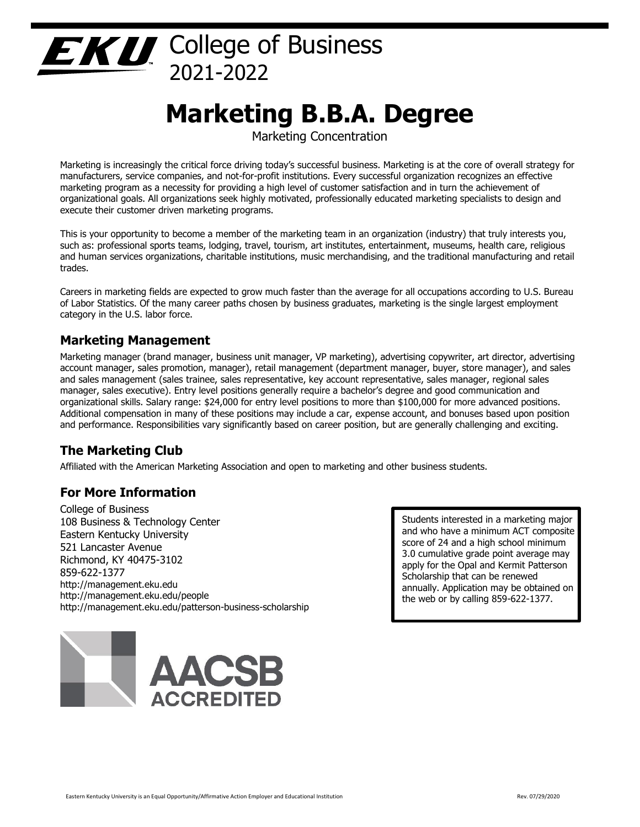# College of Business 2021-2022

# **Marketing B.B.A. Degree**

Marketing Concentration

Marketing is increasingly the critical force driving today's successful business. Marketing is at the core of overall strategy for manufacturers, service companies, and not-for-profit institutions. Every successful organization recognizes an effective marketing program as a necessity for providing a high level of customer satisfaction and in turn the achievement of organizational goals. All organizations seek highly motivated, professionally educated marketing specialists to design and execute their customer driven marketing programs.

This is your opportunity to become a member of the marketing team in an organization (industry) that truly interests you, such as: professional sports teams, lodging, travel, tourism, art institutes, entertainment, museums, health care, religious and human services organizations, charitable institutions, music merchandising, and the traditional manufacturing and retail trades.

Careers in marketing fields are expected to grow much faster than the average for all occupations according to U.S. Bureau of Labor Statistics. Of the many career paths chosen by business graduates, marketing is the single largest employment category in the U.S. labor force.

## **Marketing Management**

Marketing manager (brand manager, business unit manager, VP marketing), advertising copywriter, art director, advertising account manager, sales promotion, manager), retail management (department manager, buyer, store manager), and sales and sales management (sales trainee, sales representative, key account representative, sales manager, regional sales manager, sales executive). Entry level positions generally require a bachelor's degree and good communication and organizational skills. Salary range: \$24,000 for entry level positions to more than \$100,000 for more advanced positions. Additional compensation in many of these positions may include a car, expense account, and bonuses based upon position and performance. Responsibilities vary significantly based on career position, but are generally challenging and exciting.

# **The Marketing Club**

Affiliated with the American Marketing Association and open to marketing and other business students.

## **For More Information**

College of Business 108 Business & Technology Center Eastern Kentucky University 521 Lancaster Avenue Richmond, KY 40475-3102 859-622-1377 http://management.eku.edu http://management.eku.edu/people http://management.eku.edu/patterson-business-scholarship

Students interested in a marketing major and who have a minimum ACT composite score of 24 and a high school minimum 3.0 cumulative grade point average may apply for the Opal and Kermit Patterson Scholarship that can be renewed annually. Application may be obtained on the web or by calling 859-622-1377.